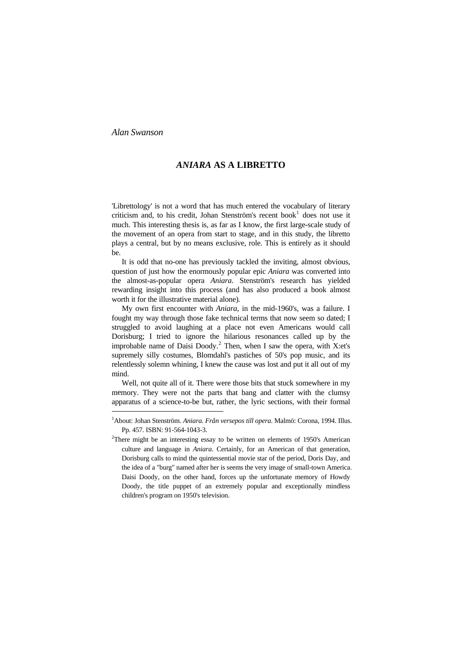## *ANIARA* **AS A LIBRETTO**

'Librettology' is not a word that has much entered the vocabulary of literary criticism and, to his credit, Johan Stenström's recent book $1$  does not use it much. This interesting thesis is, as far as I know, the first large-scale study of the movement of an opera from start to stage, and in this study, the libretto plays a central, but by no means exclusive, role. This is entirely as it should be.

It is odd that no-one has previously tackled the inviting, almost obvious, question of just how the enormously popular epic *Aniara* was converted into the almost-as-popular opera *Aniara*. Stenström's research has yielded rewarding insight into this process (and has also produced a book almost worth it for the illustrative material alone).

My own first encounter with *Aniara*, in the mid-1960's, was a failure. I fought my way through those fake technical terms that now seem so dated; I struggled to avoid laughing at a place not even Americans would call Dorisburg; I tried to ignore the hilarious resonances called up by the improbable name of Daisi Doody.<sup>[2](#page-0-1)</sup> Then, when I saw the opera, with X:et's supremely silly costumes, Blomdahl's pastiches of 50's pop music, and its relentlessly solemn whining, I knew the cause was lost and put it all out of my mind.

Well, not quite all of it. There were those bits that stuck somewhere in my memory. They were not the parts that bang and clatter with the clumsy apparatus of a science-to-be but, rather, the lyric sections, with their formal Ξ

<span id="page-0-0"></span><sup>&</sup>lt;sup>1</sup> About: Johan Stenström. *Aniara. Från versepos till opera*. Malmö: Corona, 1994. Illus. Pp. 457. ISBN: 91-564-1043-3.

<span id="page-0-1"></span><sup>&</sup>lt;sup>2</sup>There might be an interesting essay to be written on elements of 1950's American Doody, the title puppet of an extremely popular and exceptionally mindless children's program on 1950's television. culture and language in *Aniara*. Certainly, for an American of that generation, Dorisburg calls to mind the quintessential movie star of the period, Doris Day, and the idea of a "burg" named after her is seems the very image of small-town America. Daisi Doody, on the other hand, forces up the unfortunate memory of Howdy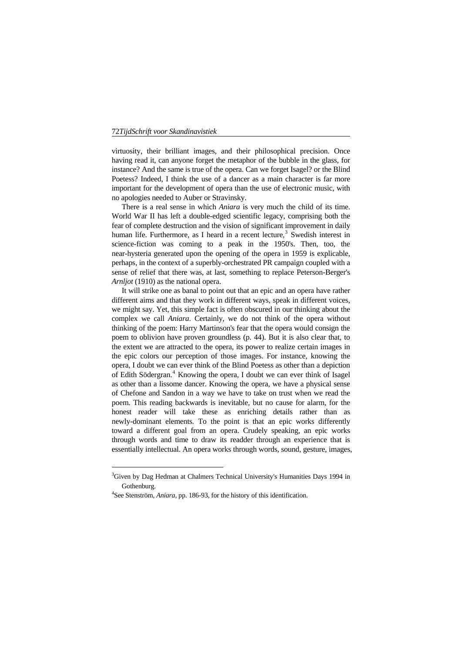virtuosity, their brilliant images, and their philosophical precision. Once having read it, can anyone forget the metaphor of the bubble in the glass, for instance? And the same is true of the opera. Can we forget Isagel? or the Blind Poetess? Indeed, I think the use of a dancer as a main character is far more important for the development of opera than the use of electronic music, with no apologies needed to Auber or Stravinsky.

fear of complete destruction and the vision of significant improvement in daily There is a real sense in which *Aniara* is very much the child of its time. World War II has left a double-edged scientific legacy, comprising both the human life. Furthermore, as I heard in a recent lecture,<sup>[3](#page-1-0)</sup> Swedish interest in science-fiction was coming to a peak in the 1950's. Then, too, the near-hysteria generated upon the opening of the opera in 1959 is explicable, perhaps, in the context of a superbly-orchestrated PR campaign coupled with a sense of relief that there was, at last, something to replace Peterson-Berger's *Arnljot* (1910) as the national opera.

we might say. Yet, this simple fact is often obscured in our thinking about the complex we call *Aniara*. Certainly, we do not think of the opera without essentially intellectual. An opera works through words, sound, gesture, images, It will strike one as banal to point out that an epic and an opera have rather different aims and that they work in different ways, speak in different voices, thinking of the poem: Harry Martinson's fear that the opera would consign the poem to oblivion have proven groundless (p. 44). But it is also clear that, to the extent we are attracted to the opera, its power to realize certain images in the epic colors our perception of those images. For instance, knowing the opera, I doubt we can ever think of the Blind Poetess as other than a depiction of Edith Södergran.<sup>[4](#page-1-1)</sup> Knowing the opera, I doubt we can ever think of Isagel as other than a lissome dancer. Knowing the opera, we have a physical sense of Chefone and Sandon in a way we have to take on trust when we read the poem. This reading backwards is inevitable, but no cause for alarm, for the honest reader will take these as enriching details rather than as newly-dominant elements. To the point is that an epic works differently toward a different goal from an opera. Crudely speaking, an epic works through words and time to draw its readder through an experience that is

<span id="page-1-0"></span> ${}^{3}$ Given by Dag Hedman at Chalmers Technical University's Humanities Days 1994 in Gothenburg.

<span id="page-1-1"></span><sup>4</sup> See Stenström, *Aniara*, pp. 186-93, for the history of this identification.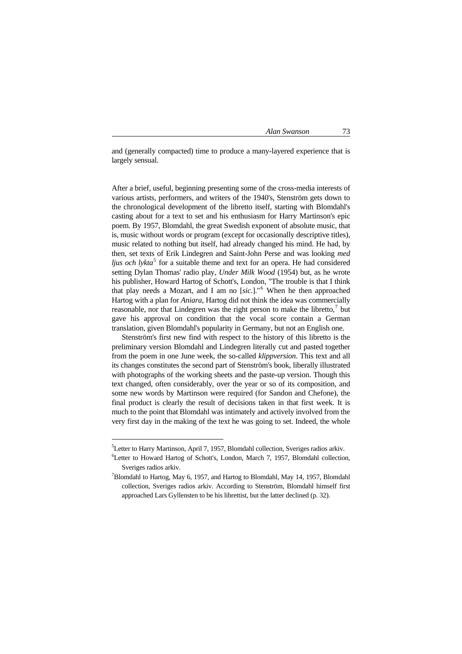and (generally compacted) time to produce a many-layered experience that is largely sensual.

the chronological development of the libretto itself, starting with Blomdahl's casting about for a text to set and his enthusiasm for Harry Martinson's epic After a brief, useful, beginning presenting some of the cross-media interests of various artists, performers, and writers of the 1940's, Stenström gets down to poem. By 1957, Blomdahl, the great Swedish exponent of absolute music, that is, music without words or program (except for occasionally descriptive titles), music related to nothing but itself, had already changed his mind. He had, by then, set texts of Erik Lindegren and Saint-John Perse and was looking *med ljus och lykta*<sup>[5](#page-2-0)</sup> for a suitable theme and text for an opera. He had considered setting Dylan Thomas' radio play, *Under Milk Wood* (1954) but, as he wrote his publisher, Howard Hartog of Schott's, London, "The trouble is that I think that play needs a Mozart, and I am no [*sic*.]."[6](#page-2-1) When he then approached Hartog with a plan for *Aniara*, Hartog did not think the idea was commercially reasonable, nor that Lindegren was the right person to make the libretto, $7$  but gave his approval on condition that the vocal score contain a German translation, given Blomdahl's popularity in Germany, but not an English one.

text changed, often considerably, over the year or so of its composition, and final product is clearly the result of decisions taken in that first week. It is much to the point that Blomdahl was intimately and actively involved from the Stenström's first new find with respect to the history of this libretto is the preliminary version Blomdahl and Lindegren literally cut and pasted together from the poem in one June week, the so-called *klippversion*. This text and all its changes constitutes the second part of Stenström's book, liberally illustrated with photographs of the working sheets and the paste-up version. Though this some new words by Martinson were required (for Sandon and Chefone), the very first day in the making of the text he was going to set. Indeed, the whole

<span id="page-2-0"></span> ${}^{5}$ Letter to Harry Martinson, April 7, 1957, Blomdahl collection, Sveriges radios arkiv.

<span id="page-2-1"></span><sup>&</sup>lt;sup>6</sup>Letter to Howard Hartog of Schott's, London, March 7, 1957, Blomdahl collection, Sveriges radios arkiv.

<span id="page-2-2"></span><sup>&</sup>lt;sup>7</sup>Blomdahl to Hartog, May 6, 1957, and Hartog to Blomdahl, May 14, 1957, Blomdahl collection, Sveriges radios arkiv. According to Stenström, Blomdahl himself first approached Lars Gyllensten to be his librettist, but the latter declined (p. 32).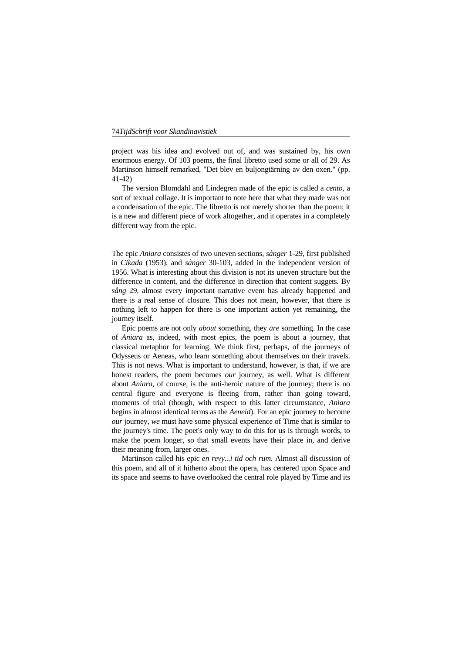project was his idea and evolved out of, and was sustained by, his own enormous energy. Of 103 poems, the final libretto used some or all of 29. As Martinson himself remarked, "Det blev en buljongtärning av den oxen." (pp. 41-42)

 The version Blomdahl and Lindegren made of the epic is called a *cento*, a sort of textual collage. It is important to note here that what they made was not a condensation of the epic. The libretto is not merely shorter than the poem; it is a new and different piece of work altogether, and it operates in a completely different way from the epic.

in *Cikada* (1953), and *sånger* 30-103, added in the independent version of nothing left to happen for there is one important action yet remaining, the journey itself. The epic *Aniara* consistes of two uneven sections, *sånger* 1-29, first published 1956. What is interesting about this division is not its uneven structure but the difference in content, and the difference in direction that content suggets. By *sång* 29, almost every important narrative event has already happened and there is a real sense of closure. This does not mean, however, that there is

Epic poems are not only *about* something, they *are* something. In the case moments of trial (though, with respect to this latter circumstance, *Aniara* of *Aniara* as, indeed, with most epics, the poem is about a journey, that classical metaphor for learning. We think first, perhaps, of the journeys of Odysseus or Aeneas, who learn something about themselves on their travels. This is not news. What is important to understand, however, is that, if we are honest readers, the poem becomes *our* journey, as well. What is different about *Aniara*, of course, is the anti-heroic nature of the journey; there is no central figure and everyone is fleeing from, rather than going toward, begins in almost identical terms as the *Aeneid*). For an epic journey to become *our* journey, *we* must have some physical experience of Time that is similar to the journey's time. The poet's only way to do this for us is through words, to make the poem longer, so that small events have their place in, and derive their meaning from, larger ones.

 Martinson called his epic *en revy...i tid och rum*. Almost all discussion of this poem, and all of it hitherto about the opera, has centered upon Space and its space and seems to have overlooked the central role played by Time and its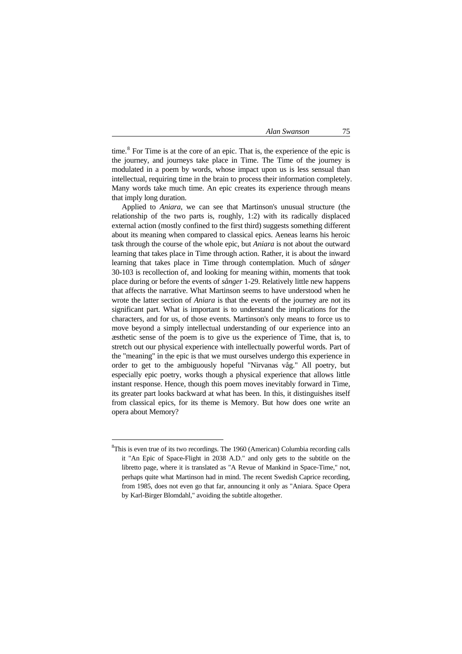time.<sup>8</sup> For Time is at the core of an epic. That is, the experience of the epic is the journey, and journeys take place in Time. The Time of the journey is modulated in a poem by words, whose impact upon us is less sensual than intellectual, requiring time in the brain to process their information completely. Many words take much time. An epic creates its experience through means that imply long duration.

Applied to *Aniara*, we can see that Martinson's unusual structure (the that affects the narrative. What Martinson seems to have understood when he opera about Memory? relationship of the two parts is, roughly, 1:2) with its radically displaced external action (mostly confined to the first third) suggests something different about its meaning when compared to classical epics. Aeneas learns his heroic task through the course of the whole epic, but *Aniara* is not about the outward learning that takes place in Time through action. Rather, it is about the inward learning that takes place in Time through contemplation. Much of *sånger* 30-103 is recollection of, and looking for meaning within, moments that took place during or before the events of *sånger* 1-29. Relatively little new happens wrote the latter section of *Aniara* is that the events of the journey are not its significant part. What is important is to understand the implications for the characters, and for us, of those events. Martinson's only means to force us to move beyond a simply intellectual understanding of our experience into an æsthetic sense of the poem is to give us the experience of Time, that is, to stretch out our physical experience with intellectually powerful words. Part of the "meaning" in the epic is that we must ourselves undergo this experience in order to get to the ambiguously hopeful "Nirvanas våg." All poetry, but especially epic poetry, works though a physical experience that allows little instant response. Hence, though this poem moves inevitably forward in Time, its greater part looks backward at what has been. In this, it distinguishes itself from classical epics, for its theme is Memory. But how does one write an

<u>—</u>

÷.

 ${}^{8}$ This is even true of its two recordings. The 1960 (American) Columbia recording calls it "An Epic of Space-Flight in 2038 A.D." and only gets to the subtitle on the libretto page, where it is translated as "A Revue of Mankind in Space-Time," not, perhaps quite what Martinson had in mind. The recent Swedish Caprice recording, from 1985, does not even go that far, announcing it only as "Aniara. Space Opera by Karl-Birger Blomdahl," avoiding the subtitle altogether.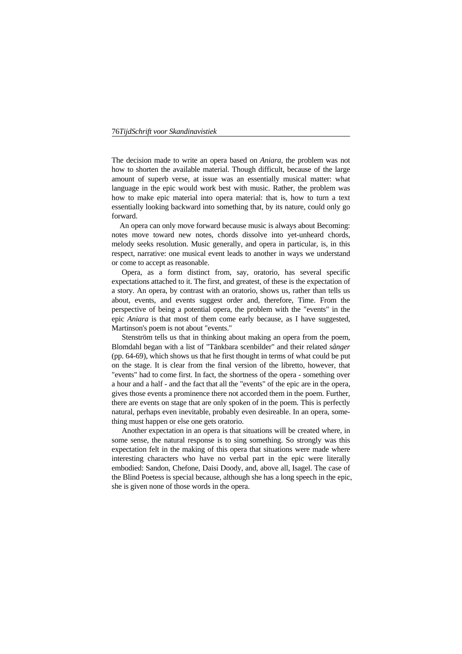The decision made to write an opera based on *Aniara,* the problem was not how to shorten the available material. Though difficult, because of the large amount of superb verse, at issue was an essentially musical matter: what language in the epic would work best with music. Rather, the problem was how to make epic material into opera material: that is, how to turn a text essentially looking backward into something that, by its nature, could only go forward.

respect, narrative: one musical event leads to another in ways we understand or come to accept as reasonable. An opera can only move forward because music is always about Becoming: notes move toward new notes, chords dissolve into yet-unheard chords, melody seeks resolution. Music generally, and opera in particular, is, in this

Opera, as a form distinct from, say, oratorio, has several specific expectations attached to it. The first, and greatest, of these is the expectation of a story. An opera, by contrast with an oratorio, shows us, rather than tells us about, events, and events suggest order and, therefore, Time. From the perspective of being a potential opera, the problem with the "events" in the epic *Aniara* is that most of them come early because, as I have suggested, Martinson's poem is not about "events."

Stenström tells us that in thinking about making an opera from the poem, Blomdahl began with a list of "Tänkbara scenbilder" and their related *sånger* a hour and a half - and the fact that all the "events" of the epic are in the opera, (pp. 64-69), which shows us that he first thought in terms of what could be put on the stage. It is clear from the final version of the libretto, however, that "events" had to come first. In fact, the shortness of the opera - something over gives those events a prominence there not accorded them in the poem. Further, there are events on stage that are only spoken of in the poem. This is perfectly natural, perhaps even inevitable, probably even desireable. In an opera, something must happen or else one gets oratorio.

expectation felt in the making of this opera that situations were made where interesting characters who have no verbal part in the epic were literally she is given none of those words in the opera. Another expectation in an opera is that situations will be created where, in some sense, the natural response is to sing something. So strongly was this embodied: Sandon, Chefone, Daisi Doody, and, above all, Isagel. The case of the Blind Poetess is special because, although she has a long speech in the epic,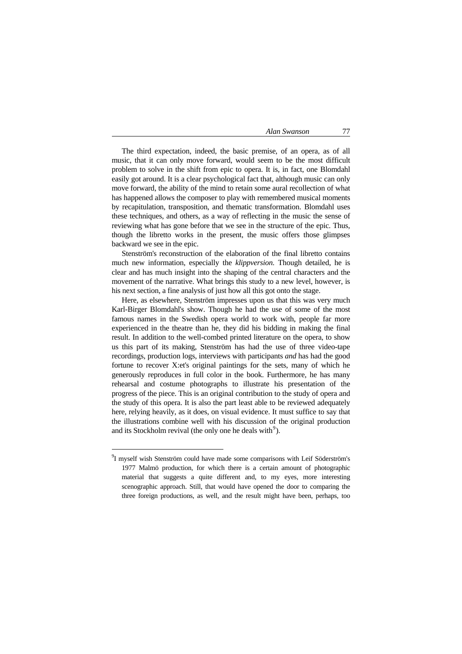these techniques, and others, as a way of reflecting in the music the sense of The third expectation, indeed, the basic premise, of an opera, as of all music, that it can only move forward, would seem to be the most difficult problem to solve in the shift from epic to opera. It is, in fact, one Blomdahl easily got around. It is a clear psychological fact that, although music can only move forward, the ability of the mind to retain some aural recollection of what has happened allows the composer to play with remembered musical moments by recapitulation, transposition, and thematic transformation. Blomdahl uses reviewing what has gone before that we see in the structure of the epic. Thus, though the libretto works in the present, the music offers those glimpses backward we see in the epic.

movement of the narrative. What brings this study to a new level, however, is his next section, a fine analysis of just how all this got onto the stage. Stenström's reconstruction of the elaboration of the final libretto contains much new information, especially the *klippversion*. Though detailed, he is clear and has much insight into the shaping of the central characters and the

rehearsal and costume photographs to illustrate his presentation of the Here, as elsewhere, Stenström impresses upon us that this was very much Karl-Birger Blomdahl's show. Though he had the use of some of the most famous names in the Swedish opera world to work with, people far more experienced in the theatre than he, they did his bidding in making the final result. In addition to the well-combed printed literature on the opera, to show us this part of its making, Stenström has had the use of three video-tape recordings, production logs, interviews with participants *and* has had the good fortune to recover X:et's original paintings for the sets, many of which he generously reproduces in full color in the book. Furthermore, he has many progress of the piece. This is an original contribution to the study of opera and the study of this opera. It is also the part least able to be reviewed adequately here, relying heavily, as it does, on visual evidence. It must suffice to say that the illustrations combine well with his discussion of the original production and its Stockholm revival (the only one he deals with $\degree$ ).

<sup>&</sup>lt;sup>9</sup>I myself wish Stenström could have made some comparisons with Leif Söderström's 1977 Malmö production, for which there is a certain amount of photographic material that suggests a quite different and, to my eyes, more interesting scenographic approach. Still, that would have opened the door to comparing the three foreign productions, as well, and the result might have been, perhaps, too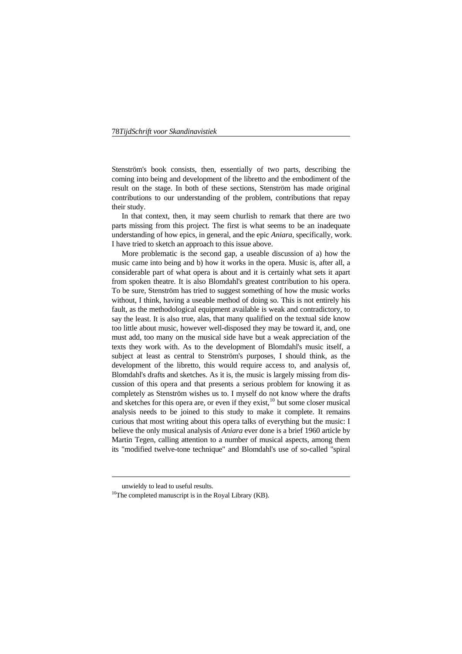Stenström's book consists, then, essentially of two parts, describing the coming into being and development of the libretto and the embodiment of the result on the stage. In both of these sections, Stenström has made original contributions to our understanding of the problem, contributions that repay their study.

 In that context, then, it may seem churlish to remark that there are two parts missing from this project. The first is what seems to be an inadequate understanding of how epics, in general, and the epic *Aniara*, specifically, work. I have tried to sketch an approach to this issue above.

More problematic is the second gap, a useable discussion of a) how the music came into being and b) how it works in the opera. Music is, after all, a considerable part of what opera is about and it is certainly what sets it apart say the least. It is also true, alas, that many qualified on the textual side know subject at least as central to Stenström's purposes, I should think, as the curious that most writing about this opera talks of everything but the music: I believe the only musical analysis of *Aniara* ever done is a brief 1960 article by its "modified twelve-tone technique" and Blomdahl's use of so-called "spiral from spoken theatre. It is also Blomdahl's greatest contribution to his opera. To be sure, Stenström has tried to suggest something of how the music works without, I think, having a useable method of doing so. This is not entirely his fault, as the methodological equipment available is weak and contradictory, to too little about music, however well-disposed they may be toward it, and, one must add, too many on the musical side have but a weak appreciation of the texts they work with. As to the development of Blomdahl's music itself, a development of the libretto, this would require access to, and analysis of, Blomdahl's drafts and sketches. As it is, the music is largely missing from discussion of this opera and that presents a serious problem for knowing it as completely as Stenström wishes us to. I myself do not know where the drafts and sketches for this opera are, or even if they exist, $10$  but some closer musical analysis needs to be joined to this study to make it complete. It remains Martin Tegen, calling attention to a number of musical aspects, among them

È,

<span id="page-7-0"></span>unwieldy to lead to useful results.<br><sup>10</sup>The completed manuscript is in the Royal Library (KB).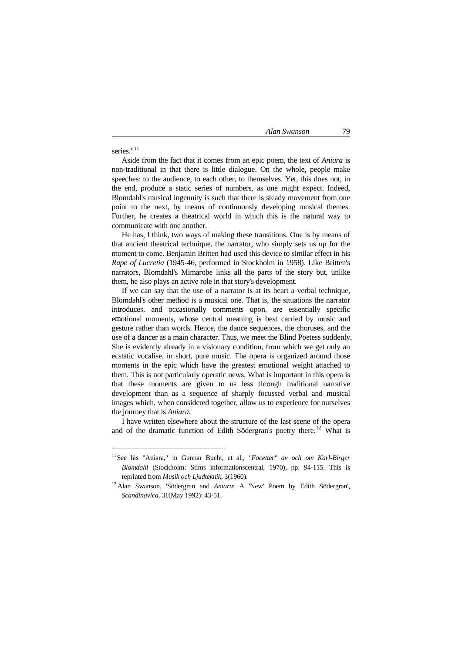# series."<sup>[11](#page-8-0)</sup>

È,

 [Aside from the fact that it comes from an epic poem, the text of](#page-8-0) *Aniara* is [non-traditional in that there is little dialogue. On the whole, people make](#page-8-0)  [speeches: to the audience, to each other, to themselves. Yet, this does not, in](#page-8-0)  [the end, produce a static series of numbers, as one might expect. Indeed,](#page-8-0)  [Blomdahl's musical ingenuity is such that there is steady movement from one](#page-8-0)  [point to the next, by means of continuously developing musical themes.](#page-8-0)  [Further, he creates a theatrical world in which this is the natural way to](#page-8-0)  [communicate with one another.](#page-8-0) 

 [He has, I think, two ways of making these transitions. One is by means of](#page-8-0)  [that ancient theatrical technique, the narrator, who simply sets us up for the](#page-8-0)  [moment to come. Benjamin Britten had used this device to similar effect in his](#page-8-0)  *Rape of Lucretia* [\(1945-46, performed in Stockholm in 1958\). Like Britten's](#page-8-0)  [narrators, Blomdahl's Mimarobe links all the parts of the story but, unlike](#page-8-0)  [them, he also plays an active role in that story's development.](#page-8-0) 

[introduces, and occasionally comment](#page-8-0)s upon, are essentially specific emotional moments, whose central meaning is best carried by music and that these moments are given to us less through traditional narrative  [If we can say that the use of a narrator is at its heart a verbal technique,](#page-8-0)  [Blomdahl's other method is a musical one. That is, the situations the narrator](#page-8-0)  gesture rather than words. Hence, the dance sequences, the choruses, and the use of a dancer as a main character. Thus, we meet the Blind Poetess suddenly. She is evidently already in a visionary condition, from which we get only an ecstatic vocalise, in short, pure music. The opera is organized around those moments in the epic which have the greatest emotional weight attached to them. This is not particularly operatic news. What is important in this opera is development than as a sequence of sharply focussed verbal and musical images which, when considered together, allow us to experience for ourselves the journey that is *Aniara*.

 I have written elsewhere about the structure of the last scene of the opera and of the dramatic function of Edith Södergran's poetry there.<sup>12</sup> What is

<span id="page-8-0"></span><sup>&</sup>lt;sup>11</sup> See his "Aniara," in Gunnar Bucht, et al., "Facetter" av och om Karl-Birger *Blomdahl* (Stockholm: Stims informationscentral, 1970), pp. 94-115. This is reprinted from *Musik och Ljudteknik*, 3(1960).

<sup>&</sup>lt;sup>12</sup> Alan Swanson, 'Södergran and *Aniara*: A 'New' Poem by Edith Södergran', *Scandinavica*, 31(May 1992): 43-51.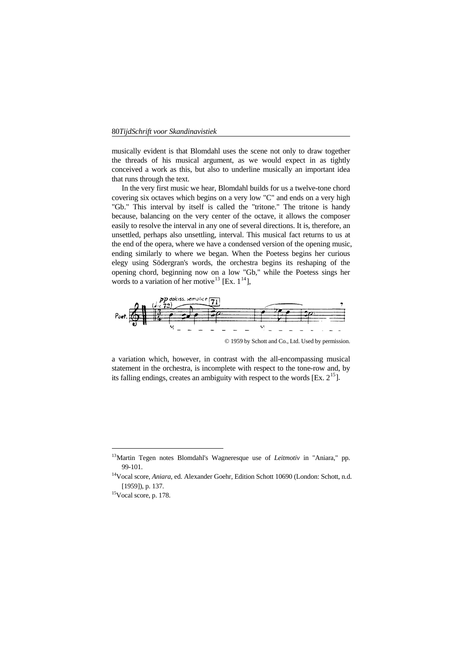the threads of his musical argument, as we would expect in as tightly musically evident is that Blomdahl uses the scene not only to draw together conceived a work as this, but also to underline musically an important idea that runs through the text.

 In the very first music we hear, Blomdahl builds for us a twelve-tone chord covering six octaves which begins on a very low "C" and ends on a very high "Gb." This interval by itself is called the "tritone." The tritone is handy because, balancing on the very center of the octave, it allows the composer easily to resolve the interval in any one of several directions. It is, therefore, an unsettled, perhaps also unsettling, interval. This musical fact returns to us at the end of the opera, where we have a condensed version of the opening music, ending similarly to where we began. When the Poetess begins her curious elegy using Södergran's words, the orchestra begins its reshaping of the opening chord, beginning now on a low "Gb," while the Poetess sings her words to a variation of her motive<sup>13</sup> [Ex.  $1^{14}$ ],



a variation which, however, in contrast with the all-encompassing musical statement in the orchestra, is incomplete with respect to the tone-row and, by its falling endings, creates an ambiguity with respect to the words [Ex.  $2^{15}$  $2^{15}$  $2^{15}$ ].

<span id="page-9-0"></span><sup>13</sup>Martin Tegen notes Blomdahl's Wagneresque use of *Leitmotiv* in "Aniara," pp. 99-101.

<sup>&</sup>lt;sup>14</sup>Vocal score, *Aniara*, ed. Alexander Goehr, Edition Schott 10690 (London: Schott, n.d. [1959]), p. 137.

<sup>15</sup>Vocal score, p. 178.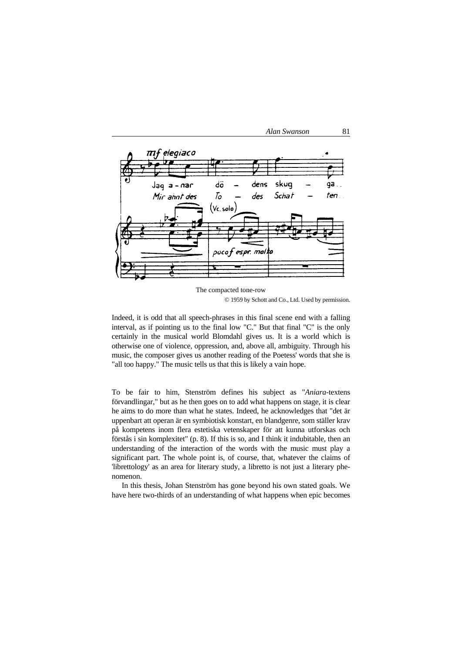



The compacted tone-row © 1959 by Schott and Co., Ltd. Used by permission.

certainly in the musical world Blomdahl gives us. It is a world which is otherwise one of violence, oppression, and, above all, ambiguity. Through his music, the composer gives us another reading of the Poetess' words that she is "all too happy." The music tells us that this is likely a vain hope. Indeed, it is odd that all speech-phrases in this final scene end with a falling interval, as if pointing us to the final low "C." But that final "C" is the only

To be fair to him, Stenström defines his subject as "Aniara-textens förvandlingar," but as he then goes on to add what happens on stage, it is clear he aims to do more than what he states. Indeed, he acknowledges that "det är uppenbart att operan är en symbiotisk konstart, en blandgenre, som ställer krav på kompetens inom flera estetiska vetenskaper för att kunna utforskas och förstås i sin komplexitet" (p. 8). If this is so, and I think it indubitable, then an significant part. The whole point is, of course, that, whatever the claims of no menon. understanding of the interaction of the words with the music must play a 'librettology' as an area for literary study, a libretto is not just a literary phe-

In this thesis, Johan Stenström has gone beyond his own stated goals. We have here two-thirds of an understanding of what happens when epic becomes